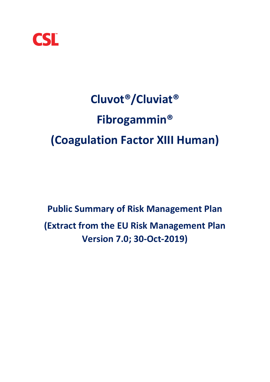

# **Cluvot®/Cluviat® Fibrogammin® (Coagulation Factor XIII Human)**

**Public Summary of Risk Management Plan (Extract from the EU Risk Management Plan Version 7.0; 30-Oct-2019)**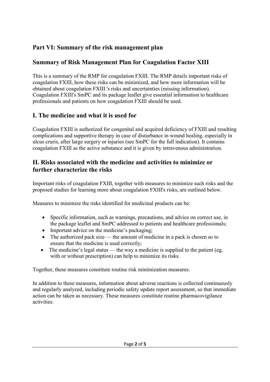# **Part VI: Summary of the risk management plan**

# **Summary of Risk Management Plan for Coagulation Factor XIII**

This is a summary of the RMP for coagulation FXIII. The RMP details important risks of coagulation FXIII, how these risks can be minimized, and how more information will be obtained about coagulation FXIII 's risks and uncertainties (missing information). Coagulation FXIII's SmPC and its package leaflet give essential information to healthcare professionals and patients on how coagulation FXIII should be used.

# **I. The medicine and what it is used for**

Coagulation FXIII is authorized for congenital and acquired deficiency of FXIII and resulting complications and supportive therapy in case of disturbance in wound healing, especially in ulcus cruris, after large surgery or injuries (see SmPC for the full indication). It contains coagulation FXIII as the active substance and it is given by intravenous administration.

#### **II. Risks associated with the medicine and activities to minimize or further characterize the risks**

Important risks of coagulation FXIII, together with measures to minimize such risks and the proposed studies for learning more about coagulation FXIII's risks, are outlined below.

Measures to minimize the risks identified for medicinal products can be:

- Specific information, such as warnings, precautions, and advice on correct use, in the package leaflet and SmPC addressed to patients and healthcare professionals;
- Important advice on the medicine's packaging;
- The authorized pack size the amount of medicine in a pack is chosen so to ensure that the medicine is used correctly;
- The medicine's legal status the way a medicine is supplied to the patient (eg, with or without prescription) can help to minimize its risks.

Together, these measures constitute routine risk minimization measures.

In addition to these measures, information about adverse reactions is collected continuously and regularly analyzed, including periodic safety update report assessment, so that immediate action can be taken as necessary. These measures constitute routine pharmacovigilance activities.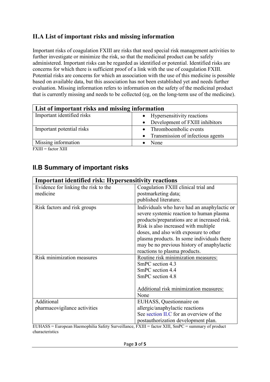## **II.A List of important risks and missing information**

Important risks of coagulation FXIII are risks that need special risk management activities to further investigate or minimize the risk, so that the medicinal product can be safely administered. Important risks can be regarded as identified or potential. Identified risks are concerns for which there is sufficient proof of a link with the use of coagulation FXIII. Potential risks are concerns for which an association with the use of this medicine is possible based on available data, but this association has not been established yet and needs further evaluation. Missing information refers to information on the safety of the medicinal product that is currently missing and needs to be collected (eg, on the long-term use of the medicine).

| List of important risks and missing information |                                     |
|-------------------------------------------------|-------------------------------------|
| Important identified risks                      | • Hypersensitivity reactions        |
|                                                 | • Development of FXIII inhibitors   |
| Important potential risks                       | • Thromboembolic events             |
|                                                 | • Transmission of infectious agents |
| Missing information                             | None                                |

FXIII = factor XIII

# **II.B Summary of important risks**

| <b>Important identified risk: Hypersensitivity reactions</b> |                                                                                                                                                                                                                                                                                                                                                        |
|--------------------------------------------------------------|--------------------------------------------------------------------------------------------------------------------------------------------------------------------------------------------------------------------------------------------------------------------------------------------------------------------------------------------------------|
| Evidence for linking the risk to the                         | Coagulation FXIII clinical trial and                                                                                                                                                                                                                                                                                                                   |
| medicine                                                     | postmarketing data;                                                                                                                                                                                                                                                                                                                                    |
|                                                              | published literature.                                                                                                                                                                                                                                                                                                                                  |
| Risk factors and risk groups                                 | Individuals who have had an anaphylactic or<br>severe systemic reaction to human plasma<br>products/preparations are at increased risk.<br>Risk is also increased with multiple<br>doses, and also with exposure to other<br>plasma products. In some individuals there<br>may be no previous history of anaphylactic<br>reactions to plasma products. |
| Risk minimization measures                                   | Routine risk minimization measures:<br>SmPC section 4.3<br>SmPC section 4.4<br>SmPC section 4.8<br>Additional risk minimization measures:<br>None                                                                                                                                                                                                      |
| Additional<br>pharmacovigilance activities                   | EUHASS, Questionnaire on<br>allergic/anaphylactic reactions                                                                                                                                                                                                                                                                                            |
|                                                              | See section II.C for an overview of the                                                                                                                                                                                                                                                                                                                |
|                                                              | postauthorization development plan.                                                                                                                                                                                                                                                                                                                    |
| $E[III \wedge CC] = E[1]$                                    | $TVIII =$ factor $VIII$ , $C_{\mu\nu}DC =$ summary of regularity                                                                                                                                                                                                                                                                                       |

EUHASS = European Haemophilia Safety Surveillance, FXIII = factor XIII, SmPC = summary of product characteristics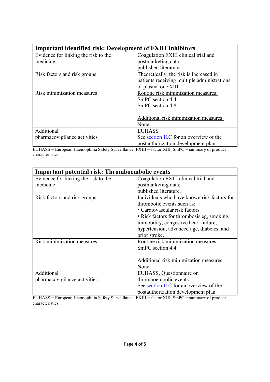| <b>Important identified risk: Development of FXIII Inhibitors</b> |                                             |
|-------------------------------------------------------------------|---------------------------------------------|
| Evidence for linking the risk to the                              | Coagulation FXIII clinical trial and        |
| medicine                                                          | postmarketing data;                         |
|                                                                   | published literature.                       |
| Risk factors and risk groups                                      | Theoretically, the risk is increased in     |
|                                                                   | patients receiving multiple administrations |
|                                                                   | of plasma or FXIII.                         |
| Risk minimization measures                                        | Routine risk minimization measures:         |
|                                                                   | SmPC section 4.4                            |
|                                                                   | SmPC section 4.8                            |
|                                                                   |                                             |
|                                                                   | Additional risk minimization measures:      |
|                                                                   | None                                        |
| Additional                                                        | <b>EUHASS</b>                               |
| pharmacovigilance activities                                      | See section II.C for an overview of the     |
|                                                                   | postauthorization development plan.         |

EUHASS = European Haemophilia Safety Surveillance, FXIII = factor XIII, SmPC = summary of product characteristics

| <b>Important potential risk: Thromboembolic events</b> |                                             |
|--------------------------------------------------------|---------------------------------------------|
| Evidence for linking the risk to the                   | Coagulation FXIII clinical trial and        |
| medicine                                               | postmarketing data;                         |
|                                                        | published literature.                       |
| Risk factors and risk groups                           | Individuals who have known risk factors for |
|                                                        | thrombotic events such as:                  |
|                                                        | • Cardiovascular risk factors               |
|                                                        | • Risk factors for thrombosis eg, smoking,  |
|                                                        | immobility, congestive heart failure,       |
|                                                        | hypertension, advanced age, diabetes, and   |
|                                                        | prior stroke.                               |
| Risk minimization measures                             | Routine risk minimization measures:         |
|                                                        | SmPC section 4.4                            |
|                                                        |                                             |
|                                                        | Additional risk minimization measures:      |
|                                                        | None                                        |
| Additional                                             | EUHASS, Questionnaire on                    |
| pharmacovigilance activities                           | thromboembolic events                       |
|                                                        | See section II.C for an overview of the     |
|                                                        | postauthorization development plan.         |

EUHASS = European Haemophilia Safety Surveillance, FXIII = factor XIII, SmPC = summary of product characteristics